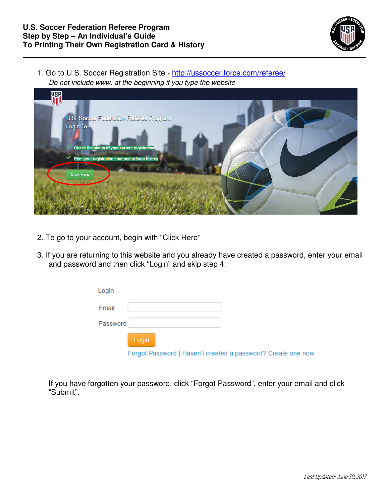

1. Go to U.S. Soccer Registration Site - http://ussoccer.force.com/referee/ Do not include www. at the beginning if you type the website



- 2. To go to your account, begin with "Click Here"
- 3. If you are returning to this website and you already have created a password, enter your email and password and then click "Login" and skip step 4.

| Login    |                                                              |
|----------|--------------------------------------------------------------|
| Email    |                                                              |
| Password |                                                              |
|          | Login                                                        |
|          | Forgot Password   Haven't created a password? Create one now |

If you have forgotten your password, click "Forgot Password", enter your email and click "Submit".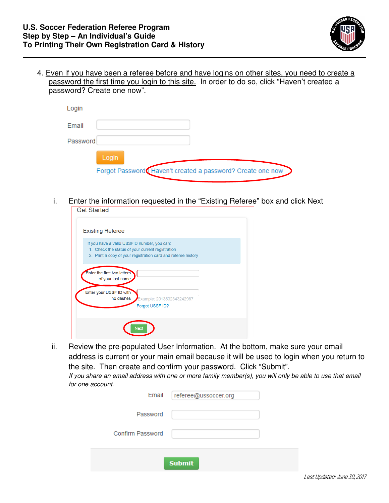

4. Even if you have been a referee before and have logins on other sites, you need to create a password the first time you login to this site. In order to do so, click "Haven't created a password? Create one now".

| Login    |                                                                     |
|----------|---------------------------------------------------------------------|
| Email    |                                                                     |
| Password |                                                                     |
|          | Login<br>Forgot Password Haven't created a password? Create one now |

i. Enter the information requested in the "Existing Referee" box and click Next

| Get Started                                                                                                                                                      |  |
|------------------------------------------------------------------------------------------------------------------------------------------------------------------|--|
| <b>Existing Referee</b>                                                                                                                                          |  |
| If you have a valid USSFID number, you can:<br>1. Check the status of your current registration<br>2. Print a copy of your registration card and referee history |  |
| Enter the first two letters<br>of your last name                                                                                                                 |  |
| Enter your USSF ID with<br>no dashes<br>Example: 2013532343242987<br>Forgot USSF ID?                                                                             |  |
| Next                                                                                                                                                             |  |

ii. Review the pre-populated User Information. At the bottom, make sure your email address is current or your main email because it will be used to login when you return to the site. Then create and confirm your password. Click "Submit".

If you share an email address with one or more family member(s), you will only be able to use that email for one account.

| Email            | referee@ussoccer.org |  |  |  |  |
|------------------|----------------------|--|--|--|--|
| Password         |                      |  |  |  |  |
| Confirm Password |                      |  |  |  |  |
| <b>Submit</b>    |                      |  |  |  |  |